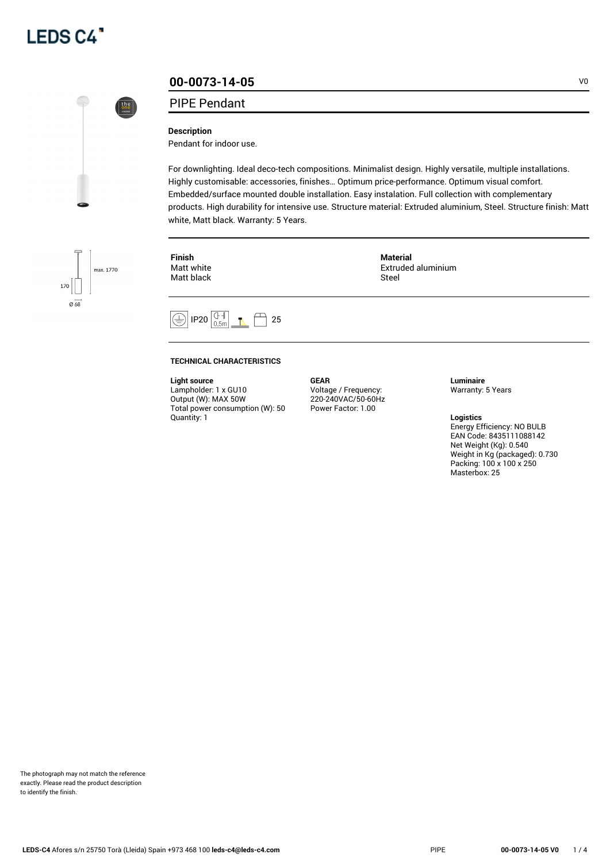



# **00-0073-14-05** VO

## PIPE Pendant

#### **Description**

Pendant for indoor use.

For downlighting. Ideal deco-tech compositions. Minimalist design. Highly versatile, multiple installations. Highly customisable: accessories, finishes… Optimum price-performance. Optimum visual comfort. Embedded/surface mounted double installation. Easy instalation. Full collection with complementary products. High durability for intensive use. Structure material: Extruded aluminium, Steel. Structure finish: Matt white, Matt black. Warranty: 5 Years.

**Finish** Matt white Matt black **Material** Extruded aluminium Steel



#### **TECHNICAL CHARACTERISTICS**

**Light source**

Lampholder: 1 x GU10 Output (W): MAX 50W Total power consumption (W): 50 Quantity: 1

**GEAR** Voltage / Frequency: 220-240VAC/50-60Hz Power Factor: 1.00

**Luminaire** Warranty: 5 Years

**Logistics** Energy Efficiency: NO BULB EAN Code: 8435111088142 Net Weight (Kg): 0.540 Weight in Kg (packaged): 0.730 Packing: 100 x 100 x 250 Masterbox: 25

The photograph may not match the reference exactly. Please read the product description to identify the finish.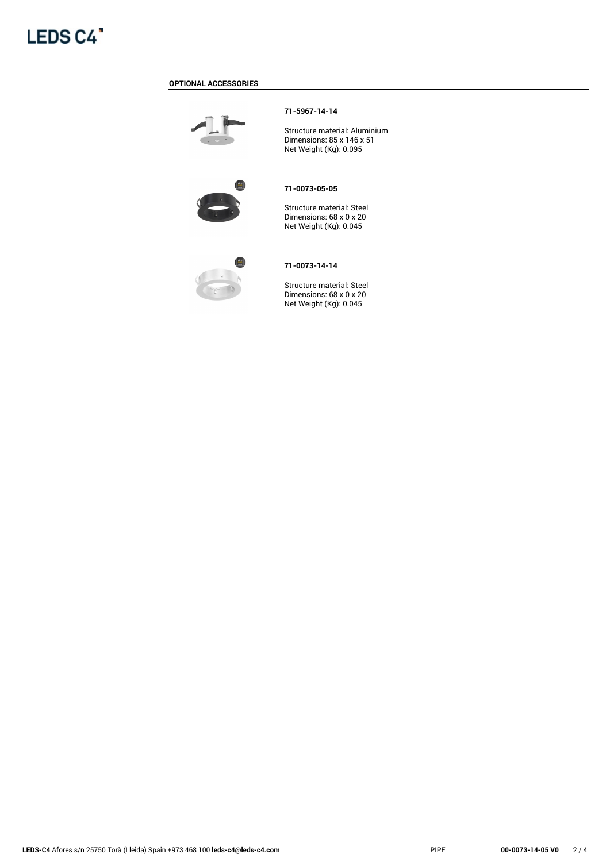

#### **OPTIONAL ACCESSORIES**



#### **71-5967-14-14**

Structure material: Aluminium Dimensions: 85 x 146 x 51 Net Weight (Kg): 0.095



#### **71-0073-05-05**

Structure material: Steel Dimensions: 68 x 0 x 20 Net Weight (Kg): 0.045



### **71-0073-14-14**

Structure material: Steel Dimensions: 68 x 0 x 20 Net Weight (Kg): 0.045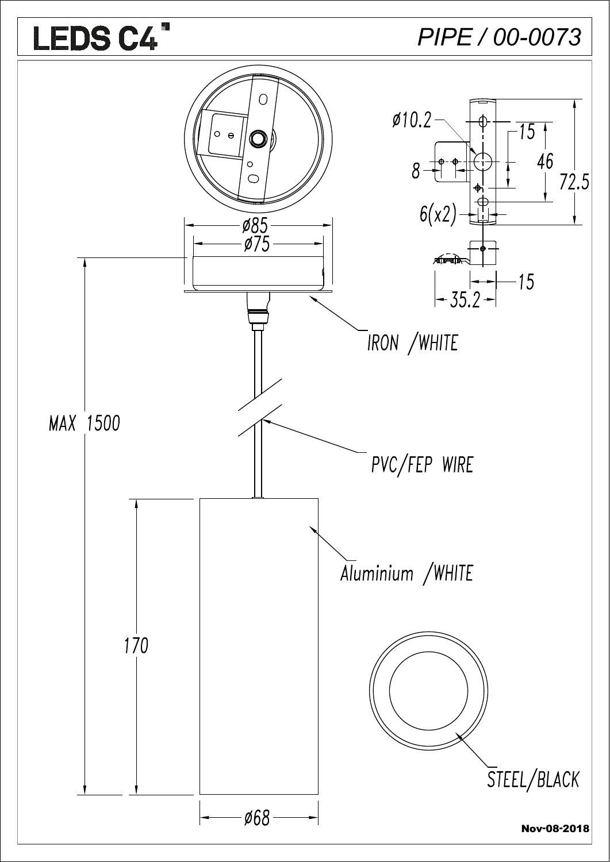